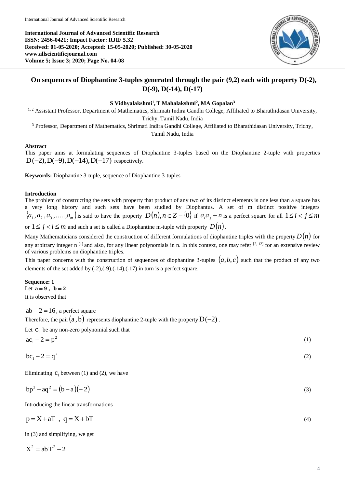

# **On sequences of Diophantine 3-tuples generated through the pair (9,2) each with property D(-2), D(-9), D(-14), D(-17)**

### **S Vidhyalakshmi<sup>1</sup> , T Mahalakshmi<sup>2</sup> , MA Gopalan<sup>3</sup>**

<sup>1, 2</sup> Assistant Professor, Department of Mathematics, Shrimati Indira Gandhi College, Affiliated to Bharathidasan University,

Trichy, Tamil Nadu, India

<sup>3</sup> Professor, Department of Mathematics, Shrimati Indira Gandhi College, Affiliated to Bharathidasan University, Trichy, Tamil Nadu, India

# **Abstract**

This paper aims at formulating sequences of Diophantine 3-tuples based on the Diophantine 2-tuple with properties  $D(-2), D(-9), D(-14), D(-17)$  respectively.

**Keywords:** Diophantine 3-tuple, sequence of Diophantine 3-tuples

## **Introduction**

The problem of constructing the sets with property that product of any two of its distinct elements is one less than a square has a very long history and such sets have been studied by Diophantus. A set of m distinct positive integers  $\{a_1,a_2,a_3,.....,a_m\}$  is said to have the property  $D(n), n\in Z-\{0\}$  if  $a_ia_j+n$  is a perfect square for all  $1\leq i < j \leq m$ or  $1 \leq j < i \leq m$  and such a set is called a Diophantine m-tuple with property  $D(n)$ .

Many Mathematicians considered the construction of different formulations of diophantine triples with the property  $D(n)$  for any arbitrary integer n<sup>[1]</sup> and also, for any linear polynomials in n. In this context, one may refer  $[2, 12]$  for an extensive review of various problems on diophantine triples.

This paper concerns with the construction of sequences of diophantine 3-tuples  $(a,b,c)$  such that the product of any two elements of the set added by (-2),(-9),(-14),(-17) in turn is a perfect square.

**Sequence: 1** Let  $a = 9$ ,  $b = 2$ It is observed that

 $ab - 2 = 16$  , a perfect square

Therefore, the pair  $(\mathrm{a} \, , \mathrm{b})$  represents diophantine 2-tuple with the property  $\mathrm{D}(-2)$  .

Let  $c_1$  be any non-zero polynomial such that

 $ac_1 - 2 = p^2$ (1)

$$
bc_1 - 2 = q^2 \tag{2}
$$

Eliminating  $C_1$  between (1) and (2), we have

$$
bp2 - aq2 = (b - a)(-2)
$$
 (3)

Introducing the linear transformations

$$
p = X + aT, q = X + bT
$$
\n<sup>(4)</sup>

in (3) and simplifying, we get

 $X^2 = abT^2 - 2$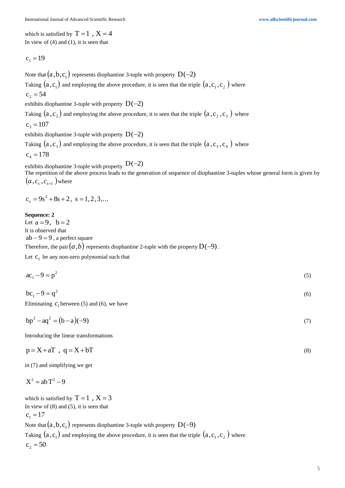which is satisfied by  $T = 1$ ,  $X = 4$ In view of  $(4)$  and  $(1)$ , it is seen that

$$
c_1 = 19
$$

Note that  $\big(a,b,c_{_1}\big)$  represents diophantine 3-tuple with property  $\,\mathrm{D}(-2)$ 

Taking  $(\mathrm{a}$  ,  $\mathrm{c}_1)$  and employing the above procedure, it is seen that the triple  $(\mathrm{a}$  ,  $\mathrm{c}_1$  ,  $\mathrm{c}_2$   $)$  where

$$
c_2 = 54
$$

exhibits diophantine 3-tuple with property  $D(-2)$ 

Taking  $(a\,,c_{_2})$  and employing the above procedure, it is seen that the triple  $(a\,,c_{_2}\,,c_{_3}\,)$  where

$$
c_3 = 107
$$

exhibits diophantine 3-tuple with property  $D(-2)$ 

Taking  $(a, c_3)$  and employing the above procedure, it is seen that the triple  $(a, c_3, c_4)$  where  $c_4 = 178$ 

exhibits diophantine 3-tuple with property  $D(-2)$ 

The repetition of the above process leads to the generation of sequence of diophantine 3-tuples whose general form is given by  $(a$  ,  $c_{_s}$  ,  $c_{_{s+1}}$   $)$  where

$$
c_s = 9s^2 + 8s + 2
$$
,  $s = 1, 2, 3,...$ 

#### **Sequence: 2**

Let  $a=9$ ,  $b=2$ It is observed that

 $ab - 9 = 9$  , a perfect square

Therefore, the pair  $(a,b)$  represents diophantine 2-tuple with the property  $\mathrm{D}(-9)$  .

Let  $c_1$  be any non-zero polynomial such that

$$
ac_1 - 9 = p^2 \tag{5}
$$

 $bc_1 - 9 = q^2$ (6)

Eliminating  $c_1$  between (5) and (6), we have

$$
bp2 - aq2 = (b - a)(-9)
$$
 (7)

Introducing the linear transformations

$$
p = X + aT, q = X + bT
$$
\n<sup>(8)</sup>

in (7) and simplifying we get

$$
X^2 = abT^2 - 9
$$

which is satisfied by  $T = 1$ ,  $X = 3$ In view of  $(8)$  and  $(5)$ , it is seen that  $c_1 = 17$ Note that  $\big(a,b,c_{_1}\big)$  represents diophantine 3-tuple with property  $\,\mathrm{D}(-9)$ Taking  $(\mathrm{a}$  ,  $\mathrm{c}_1)$  and employing the above procedure, it is seen that the triple  $(\mathrm{a}$  ,  $\mathrm{c}_1$  ,  $\mathrm{c}_2$   $)$  where  $c_2 = 50$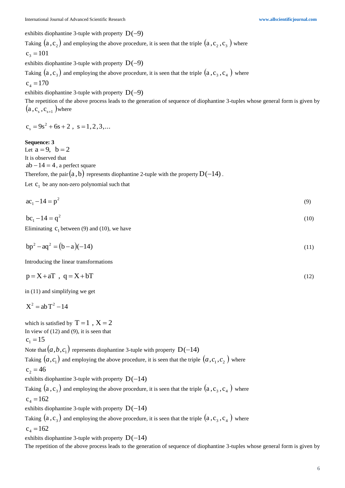exhibits diophantine 3-tuple with property  $D(-9)$ 

Taking  $(a\,,c_2^{})$  and employing the above procedure, it is seen that the triple  $(a\,,c_{_2}\,,c_{_3}^{})$  where  $c_3 = 101$ 

exhibits diophantine 3-tuple with property  $D(-9)$ 

Taking  $(a, c_3)$  and employing the above procedure, it is seen that the triple  $(a, c_3, c_4)$  where

$$
c_4 = 170
$$

exhibits diophantine 3-tuple with property  $D(-9)$ 

The repetition of the above process leads to the generation of sequence of diophantine 3-tuples whose general form is given by  $(\mathrm{a}$  ,  $\mathrm{c}_{_{\mathrm{s}}}$  ,  $\mathrm{c}_{_{\mathrm{s+1}}}$   $)$  where

$$
c_s = 9s^2 + 6s + 2
$$
,  $s = 1, 2, 3,...$ 

**Sequence: 3**

Let  $a = 9$ ,  $b = 2$ It is observed that  $ab - 14 = 4$  , a perfect square Therefore, the pair  $(\mathrm{a} \, ,\mathrm{b})$  represents diophantine 2-tuple with the property  $\mathrm{D}(-14)$  . Let  $c_1$  be any non-zero polynomial such that

 $ac_1 - 14 = p^2$ (9)

$$
bc_1 - 14 = q^2 \tag{10}
$$

Eliminating  $C_1$  between (9) and (10), we have

$$
bp2 - aq2 = (b - a)(-14)
$$
 (11)

Introducing the linear transformations

$$
p = X + aT, q = X + bT
$$
\n<sup>(12)</sup>

in (11) and simplifying we get

$$
X^2 = abT^2 - 14
$$

which is satisfied by  $T = 1$ ,  $X = 2$ In view of  $(12)$  and  $(9)$ , it is seen that  $c_1 = 15$ Note that  $(a,b,c_{1})$  represents diophantine 3-tuple with property  $\mathop{\rm D}\nolimits(-14)$ Taking  $(a, c_{1})$  and employing the above procedure, it is seen that the triple  $(a, c_{1}, c_{2}^{})$  where  $c_2 = 46$ exhibits diophantine 3-tuple with property  $D(-14)$ Taking  $(a, c_3)$  and employing the above procedure, it is seen that the triple  $(a, c_3, c_4)$  where  $c_4 = 162$ exhibits diophantine 3-tuple with property  $D(-14)$ Taking  $(a, c_3)$  and employing the above procedure, it is seen that the triple  $(a, c_3, c_4)$  where  $c_4 = 162$ exhibits diophantine 3-tuple with property  $D(-14)$ 

The repetition of the above process leads to the generation of sequence of diophantine 3-tuples whose general form is given by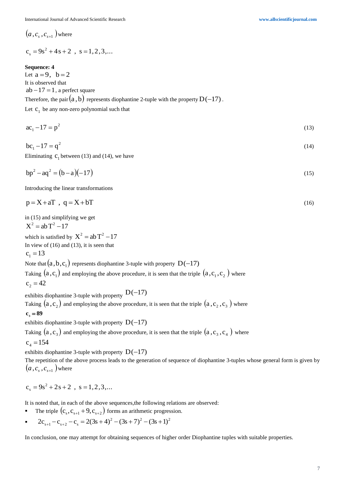$(a$  ,  $c_{_s}$  ,  $c_{_{s+1}}$   $)$  where

$$
c_s = 9s^2 + 4s + 2
$$
,  $s = 1, 2, 3,...$ 

#### **Sequence: 4**

Let  $a=9$ ,  $b=2$ It is observed that  $ab - 17 = 1$  , a perfect square Therefore, the pair  $(\mathrm{a} \,,\mathrm{b})$  represents diophantine 2-tuple with the property  $\mathrm{D}(-17)$  .

Let  $c_1$  be any non-zero polynomial such that

$$
ac_1 - 17 = p^2 \tag{13}
$$

$$
bc_1 - 17 = q^2 \tag{14}
$$

Eliminating  $C_1$  between (13) and (14), we have

$$
bp2 - aq2 = (b - a)(-17)
$$
 (15)

Introducing the linear transformations

$$
p = X + aT, q = X + bT
$$
\n<sup>(16)</sup>

in (15) and simplifying we get

$$
X^2 = abT^2 - 17
$$

which is satisfied by  $X^2 = abT^2 - 17$ 

In view of  $(16)$  and  $(13)$ , it is seen that

$$
c_1 = 13
$$

Note that  $(a,b,c_{1})$  represents diophantine 3-tuple with property  $\rm\,D(-17)$ 

Taking  $(\mathrm{a}$  ,  $\mathrm{c}_1)$  and employing the above procedure, it is seen that the triple  $(\mathrm{a}$  ,  $\mathrm{c}_1$  ,  $\mathrm{c}_2$   $)$  where  $c_2 = 42$ 

exhibits diophantine 3-tuple with property  $D(-17)$ 

Taking  $(a\,,c_{_2})$  and employing the above procedure, it is seen that the triple  $(a\,,c_{_2}\,,c_{_3}\,)$  where  $c_{3} = 89$ 

exhibits diophantine 3-tuple with property  $D(-17)$ 

Taking  $(a, c_3)$  and employing the above procedure, it is seen that the triple  $(a, c_3, c_4)$  where

$$
c_4 = 154
$$

exhibits diophantine 3-tuple with property  $D(-17)$ 

The repetition of the above process leads to the generation of sequence of diophantine 3-tuples whose general form is given by  $\left( a^{},c_{_s}^{\phantom{0}},c_{_{s+1}}^{\phantom{0}}\right)$  where

 $c_s = 9s^2 + 2s + 2$ ,  $s = 1, 2, 3,...$  $s = 9s^2 + 2s + 2$ ,  $s =$ 

It is noted that, in each of the above sequences,the following relations are observed:

- The triple  $(c_s, c_{s+1} + 9, c_{s+2})$  forms an arithmetic progression.
- $\blacksquare$  $2c_{s+1} - c_{s+2} - c_s = 2(3s+4)^2 - (3s+7)^2 - (3s+1)^2$

In conclusion, one may attempt for obtaining sequences of higher order Diophantine tuples with suitable properties.